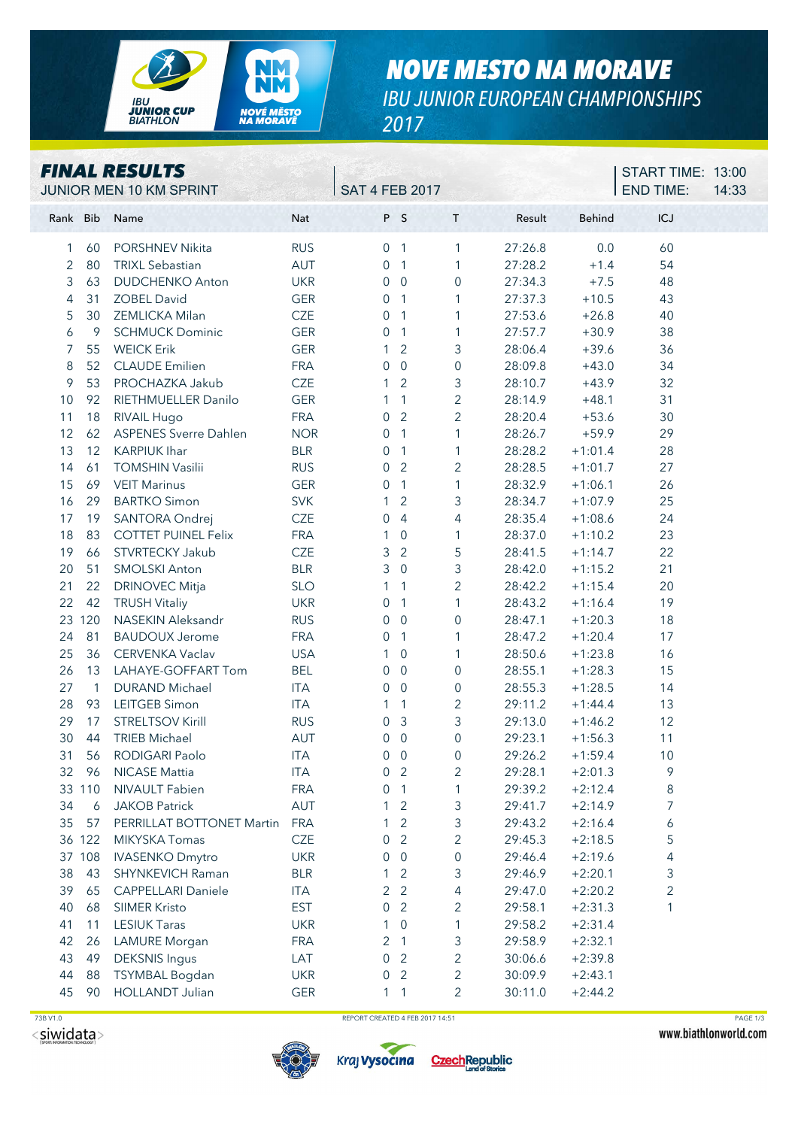

## *NOVE MESTO NA MORAVE IBU JUNIOR EUROPEAN CHAMPIONSHIPS*

*2017*

|          |                | <b>FINAL RESULTS</b><br>JUNIOR MEN 10 KM SPRINT |            | <b>SAT 4 FEB 2017</b> |                |                     |         |               | START TIME: 13:00<br><b>END TIME:</b> | 14:33 |
|----------|----------------|-------------------------------------------------|------------|-----------------------|----------------|---------------------|---------|---------------|---------------------------------------|-------|
| Rank Bib |                | Name                                            | Nat        |                       | P S            | T                   | Result  | <b>Behind</b> | <b>ICJ</b>                            |       |
| 1        | 60             | <b>PORSHNEV Nikita</b>                          | <b>RUS</b> |                       | 0 <sub>1</sub> | 1                   | 27:26.8 | 0.0           | 60                                    |       |
| 2        | 80             | <b>TRIXL Sebastian</b>                          | AUT        | $\overline{0}$        | $\overline{1}$ | $\mathbf{1}$        | 27:28.2 | $+1.4$        | 54                                    |       |
| 3        | 63             | <b>DUDCHENKO Anton</b>                          | <b>UKR</b> | 0                     | $\overline{0}$ | 0                   | 27:34.3 | $+7.5$        | 48                                    |       |
| 4        | 31             | <b>ZOBEL David</b>                              | <b>GER</b> | 0                     | $\overline{1}$ | 1                   | 27:37.3 | $+10.5$       | 43                                    |       |
| 5        | 30             | ZEMLICKA Milan                                  | <b>CZE</b> | 0                     | $\overline{1}$ | 1                   | 27:53.6 | $+26.8$       | 40                                    |       |
| 6        | 9              | <b>SCHMUCK Dominic</b>                          | <b>GER</b> | 0                     | $\overline{1}$ | 1                   | 27:57.7 | $+30.9$       | 38                                    |       |
| 7        | 55             | <b>WEICK Erik</b>                               | <b>GER</b> | 1                     | $\overline{2}$ | 3                   | 28:06.4 | $+39.6$       | 36                                    |       |
| 8        | 52             | <b>CLAUDE</b> Emilien                           | <b>FRA</b> | 0                     | $\overline{0}$ | $\boldsymbol{0}$    | 28:09.8 | $+43.0$       | 34                                    |       |
| 9        | 53             | PROCHAZKA Jakub                                 | CZE        | 1                     | $\overline{2}$ | 3                   | 28:10.7 | $+43.9$       | 32                                    |       |
| 10       | 92             | RIETHMUELLER Danilo                             | <b>GER</b> | 1                     | $\mathbf{1}$   | $\overline{2}$      | 28:14.9 | $+48.1$       | 31                                    |       |
| 11       | 18             | RIVAIL Hugo                                     | <b>FRA</b> | 0                     | 2              | $\overline{2}$      | 28:20.4 | $+53.6$       | 30                                    |       |
| 12       | 62             | <b>ASPENES Sverre Dahlen</b>                    | <b>NOR</b> | 0                     | $\mathbf{1}$   | 1                   | 28:26.7 | $+59.9$       | 29                                    |       |
| 13       | 12             | <b>KARPIUK Ihar</b>                             | <b>BLR</b> | 0                     | $\overline{1}$ | 1                   | 28:28.2 | $+1:01.4$     | 28                                    |       |
| 14       | 61             | <b>TOMSHIN Vasilii</b>                          | <b>RUS</b> | 0                     | $\overline{2}$ | $\overline{2}$      | 28:28.5 | $+1:01.7$     | 27                                    |       |
| 15       | 69             | <b>VEIT Marinus</b>                             | <b>GER</b> | 0                     | $\overline{1}$ | $\mathbf{1}$        | 28:32.9 | $+1:06.1$     | 26                                    |       |
| 16       | 29             | <b>BARTKO Simon</b>                             | <b>SVK</b> | 1                     | $\overline{2}$ | 3                   | 28:34.7 | $+1:07.9$     | 25                                    |       |
| 17       | 19             | SANTORA Ondrej                                  | CZE        | 0                     | $\overline{4}$ | 4                   | 28:35.4 | $+1:08.6$     | 24                                    |       |
| 18       | 83             | <b>COTTET PUINEL Felix</b>                      | <b>FRA</b> | $\mathbf{1}$          | $\overline{0}$ | 1                   | 28:37.0 | $+1:10.2$     | 23                                    |       |
| 19       | 66             | STVRTECKY Jakub                                 | <b>CZE</b> | 3                     | $\overline{2}$ | 5                   | 28:41.5 | $+1:14.7$     | 22                                    |       |
| 20       | 51             | <b>SMOLSKI Anton</b>                            | <b>BLR</b> | 3                     | $\overline{0}$ | 3                   | 28:42.0 | $+1:15.2$     | 21                                    |       |
| 21       | 22             | <b>DRINOVEC Mitja</b>                           | <b>SLO</b> | 1                     | $\overline{1}$ | $\overline{2}$      | 28:42.2 | $+1:15.4$     | 20                                    |       |
| 22       | 42             | <b>TRUSH Vitaliy</b>                            | <b>UKR</b> | 0                     | $\mathbf{1}$   | 1                   | 28:43.2 | $+1:16.4$     | 19                                    |       |
|          | 23 120         | NASEKIN Aleksandr                               | <b>RUS</b> | 0                     | $\overline{0}$ | $\mathbf 0$         | 28:47.1 | $+1:20.3$     | 18                                    |       |
| 24       | 81             | <b>BAUDOUX Jerome</b>                           | <b>FRA</b> | 0                     | $\overline{1}$ | 1                   | 28:47.2 | $+1:20.4$     | 17                                    |       |
| 25       | 36             | CERVENKA Vaclav                                 | <b>USA</b> | 1                     | $\overline{0}$ | 1                   | 28:50.6 | $+1:23.8$     | 16                                    |       |
| 26       | 13             | LAHAYE-GOFFART Tom                              | <b>BEL</b> | 0                     | $\overline{0}$ | $\mathsf{O}\xspace$ | 28:55.1 | $+1:28.3$     | 15                                    |       |
| 27       | $\overline{1}$ | <b>DURAND Michael</b>                           | <b>ITA</b> | 0                     | $\overline{0}$ | 0                   | 28:55.3 | $+1:28.5$     | 14                                    |       |
| 28       | 93             | LEITGEB Simon                                   | <b>ITA</b> | 1                     | $\overline{1}$ | $\overline{2}$      | 29:11.2 | $+1:44.4$     | 13                                    |       |
| 29       | 17             | <b>STRELTSOV Kirill</b>                         | <b>RUS</b> | 0                     | $\mathbf{3}$   | 3                   | 29:13.0 | $+1:46.2$     | 12                                    |       |
| 30       | 44             | <b>TRIEB Michael</b>                            | AUT        | 0                     | $\overline{0}$ | $\mathbf 0$         | 29:23.1 | $+1:56.3$     | 11                                    |       |
| 31       | 56             | RODIGARI Paolo                                  | <b>ITA</b> |                       | $0\quad 0$     | 0                   | 29:26.2 | $+1:59.4$     | 10                                    |       |
| 32       | 96             | <b>NICASE Mattia</b>                            | <b>ITA</b> | 0                     | $\overline{2}$ | 2                   | 29:28.1 | $+2:01.3$     | 9                                     |       |
|          | 33 110         | NIVAULT Fabien                                  | <b>FRA</b> | 0                     | $\overline{1}$ | 1                   | 29:39.2 | $+2:12.4$     | 8                                     |       |
| 34       | 6              | <b>JAKOB Patrick</b>                            | AUT        |                       | $\overline{2}$ | 3                   | 29:41.7 | $+2:14.9$     | 7                                     |       |
| 35       | 57             | PERRILLAT BOTTONET Martin                       | <b>FRA</b> |                       | $\overline{2}$ | 3                   | 29:43.2 | $+2:16.4$     | 6                                     |       |
|          | 36 122         | MIKYSKA Tomas                                   | <b>CZE</b> | 0                     | $\overline{2}$ | $\overline{2}$      | 29:45.3 | $+2:18.5$     | 5                                     |       |
|          | 37 108         | <b>IVASENKO Dmytro</b>                          | <b>UKR</b> | 0                     | $\overline{0}$ | $\boldsymbol{0}$    | 29:46.4 | $+2:19.6$     | 4                                     |       |
| 38       | 43             | SHYNKEVICH Raman                                | <b>BLR</b> |                       | 2              | 3                   | 29:46.9 | $+2:20.1$     | 3                                     |       |
| 39       | 65             | <b>CAPPELLARI Daniele</b>                       | <b>ITA</b> | 2                     | $\overline{2}$ | 4                   | 29:47.0 | $+2:20.2$     | 2                                     |       |
| 40       | 68             | <b>SIIMER Kristo</b>                            | <b>EST</b> | 0                     | $\overline{2}$ | 2                   | 29:58.1 | $+2:31.3$     | 1                                     |       |
| 41       | 11             | <b>LESIUK Taras</b>                             | <b>UKR</b> | 1                     | 0              | 1                   | 29:58.2 | $+2:31.4$     |                                       |       |
| 42       | 26             | <b>LAMURE</b> Morgan                            | <b>FRA</b> | 2                     | $\overline{1}$ | 3                   | 29:58.9 | $+2:32.1$     |                                       |       |
| 43       | 49             | <b>DEKSNIS Ingus</b>                            | LAT        | 0                     | $\overline{2}$ | $\overline{c}$      | 30:06.6 | $+2:39.8$     |                                       |       |
| 44       | 88             | TSYMBAL Bogdan                                  | <b>UKR</b> | 0                     | 2              | $\overline{2}$      | 30:09.9 | $+2:43.1$     |                                       |       |
| 45       | 90             | <b>HOLLANDT Julian</b>                          | <b>GER</b> |                       | $1 \quad 1$    | $\overline{2}$      | 30:11.0 | $+2:44.2$     |                                       |       |

 $<$ siwidata>

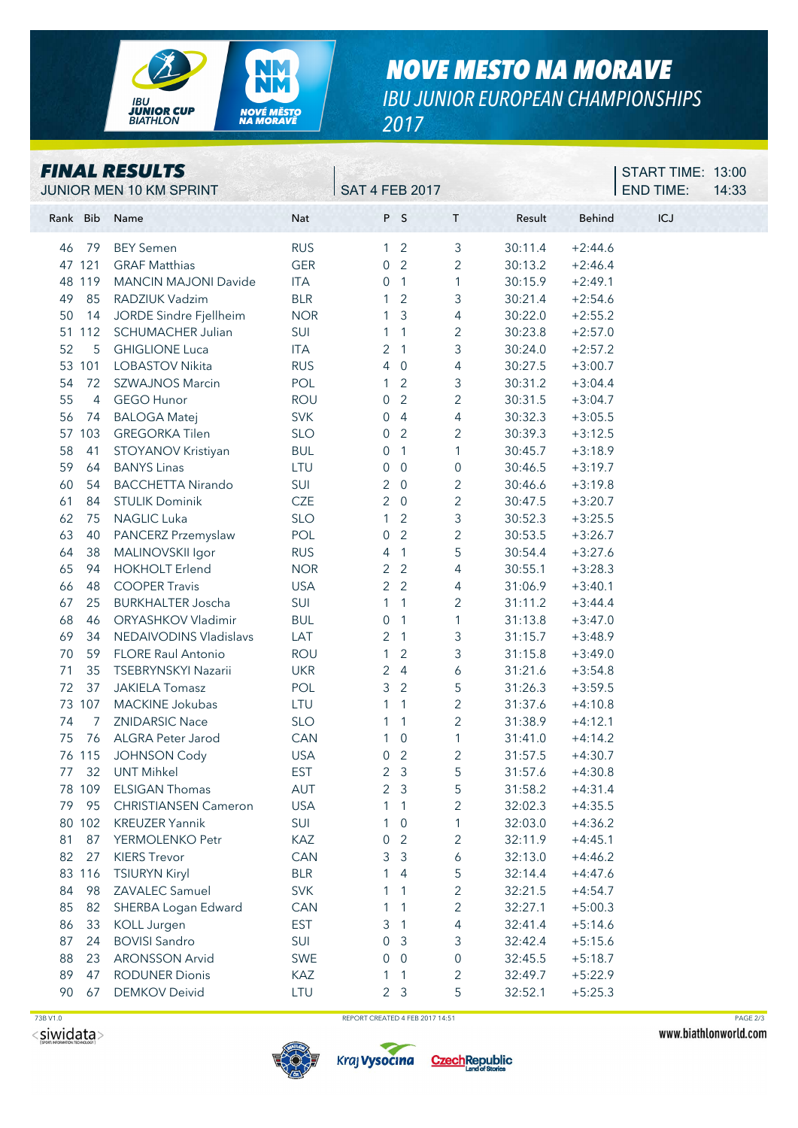

## *NOVE MESTO NA MORAVE IBU JUNIOR EUROPEAN CHAMPIONSHIPS 2017*

| <b>FINAL RESULTS</b> |
|----------------------|
|----------------------|

|          |                | <b>FINAL RESULTS</b><br>JUNIOR MEN 10 KM SPRINT |            | <b>SAT 4 FEB 2017</b>              |                |         |           | START TIME: 13:00<br><b>END TIME:</b><br>14:33 |  |
|----------|----------------|-------------------------------------------------|------------|------------------------------------|----------------|---------|-----------|------------------------------------------------|--|
| Rank Bib |                | Name                                            | Nat        | P S                                | $\mathsf{T}$   | Result  | Behind    | ICJ                                            |  |
| 46       | 79             | <b>BEY Semen</b>                                | <b>RUS</b> | $\overline{2}$<br>1                | 3              | 30:11.4 | $+2:44.6$ |                                                |  |
|          | 47 121         | <b>GRAF Matthias</b>                            | <b>GER</b> | $\overline{2}$<br>$\mathbf 0$      | $\mathbf{2}$   | 30:13.2 | $+2:46.4$ |                                                |  |
|          | 48 119         | <b>MANCIN MAJONI Davide</b>                     | <b>ITA</b> | $\overline{1}$<br>$\mathbf 0$      | 1              | 30:15.9 | $+2:49.1$ |                                                |  |
| 49       | 85             | RADZIUK Vadzim                                  | <b>BLR</b> | $\overline{2}$                     | 3              | 30:21.4 | $+2:54.6$ |                                                |  |
| 50       | 14             | JORDE Sindre Fjellheim                          | <b>NOR</b> | 3<br>1                             | 4              | 30:22.0 | $+2:55.2$ |                                                |  |
|          | 51 112         | SCHUMACHER Julian                               | SUI        | 1                                  | $\overline{c}$ | 30:23.8 | $+2:57.0$ |                                                |  |
| 52       | 5              | <b>GHIGLIONE Luca</b>                           | ITA        | 2<br>$\sqrt{1}$                    | 3              | 30:24.0 | $+2:57.2$ |                                                |  |
|          | 53 101         | <b>LOBASTOV Nikita</b>                          | <b>RUS</b> | 4<br>$\overline{0}$                | 4              | 30:27.5 | $+3:00.7$ |                                                |  |
| 54       | 72             | <b>SZWAJNOS Marcin</b>                          | POL        | $\overline{2}$<br>1                | 3              | 30:31.2 | $+3:04.4$ |                                                |  |
| 55       | $\overline{4}$ | <b>GEGO Hunor</b>                               | <b>ROU</b> | $\overline{2}$<br>$\mathbf 0$      | $\overline{2}$ | 30:31.5 | $+3:04.7$ |                                                |  |
| 56       | 74             | <b>BALOGA Matej</b>                             | <b>SVK</b> | $\overline{4}$<br>$\boldsymbol{0}$ | $\overline{4}$ | 30:32.3 | $+3:05.5$ |                                                |  |
|          | 57 103         | <b>GREGORKA Tilen</b>                           | <b>SLO</b> | $\overline{2}$<br>$\mathbf 0$      | $\overline{2}$ | 30:39.3 | $+3:12.5$ |                                                |  |
| 58       | 41             | STOYANOV Kristiyan                              | <b>BUL</b> | $\overline{1}$<br>0                | 1              | 30:45.7 | $+3:18.9$ |                                                |  |
| 59       | 64             | <b>BANYS Linas</b>                              | LTU        | $\overline{0}$<br>0                | 0              | 30:46.5 | $+3:19.7$ |                                                |  |
| 60       | 54             | <b>BACCHETTA Nirando</b>                        | SUI        | $\overline{0}$<br>2                | $\overline{c}$ | 30:46.6 | $+3:19.8$ |                                                |  |
| 61       | 84             | <b>STULIK Dominik</b>                           | CZE        | 2<br>$\overline{0}$                | $\overline{c}$ | 30:47.5 | $+3:20.7$ |                                                |  |
| 62       | 75             | <b>NAGLIC Luka</b>                              | <b>SLO</b> | $\overline{2}$<br>1                | 3              | 30:52.3 | $+3:25.5$ |                                                |  |
| 63       | 40             | PANCERZ Przemyslaw                              | POL        | $\overline{2}$<br>$\mathbf 0$      | $\overline{2}$ | 30:53.5 | $+3:26.7$ |                                                |  |
| 64       | 38             | MALINOVSKII Igor                                | <b>RUS</b> | $\overline{1}$<br>4                | 5              | 30:54.4 | $+3:27.6$ |                                                |  |
| 65       | 94             | <b>HOKHOLT Erlend</b>                           | <b>NOR</b> | $\overline{2}$<br>$\overline{2}$   | 4              | 30:55.1 | $+3:28.3$ |                                                |  |
| 66       | 48             | <b>COOPER Travis</b>                            | <b>USA</b> | $\overline{2}$<br>2                | 4              | 31:06.9 | $+3:40.1$ |                                                |  |
| 67       | 25             | <b>BURKHALTER Joscha</b>                        | SUI        | $\overline{1}$<br>1                | $\overline{2}$ | 31:11.2 | $+3:44.4$ |                                                |  |
| 68       | 46             | ORYASHKOV Vladimir                              | <b>BUL</b> | $\overline{1}$<br>0                | 1              | 31:13.8 | $+3:47.0$ |                                                |  |
| 69       | 34             | <b>NEDAIVODINS Vladislavs</b>                   | LAT        | 2<br>$\overline{1}$                | 3              | 31:15.7 | $+3:48.9$ |                                                |  |
| 70       | 59             | <b>FLORE Raul Antonio</b>                       | <b>ROU</b> | $\overline{2}$<br>1                | 3              | 31:15.8 | $+3:49.0$ |                                                |  |
| 71       | 35             | TSEBRYNSKYI Nazarii                             | <b>UKR</b> | 2<br>$\overline{4}$                | 6              | 31:21.6 | $+3:54.8$ |                                                |  |
| 72       | 37             | <b>JAKIELA Tomasz</b>                           | POL        | 3<br>$\overline{2}$                | 5              | 31:26.3 | $+3:59.5$ |                                                |  |
|          | 73 107         | MACKINE Jokubas                                 | LTU        | 1<br>1                             | $\overline{c}$ | 31:37.6 | $+4:10.8$ |                                                |  |
| 74       | 7              | <b>ZNIDARSIC Nace</b>                           | <b>SLO</b> | $\mathbf{1}$                       | $\overline{2}$ | 31:38.9 | $+4:12.1$ |                                                |  |
| 75       | 76             | ALGRA Peter Jarod                               | CAN        | $\overline{0}$<br>1                | 1              | 31:41.0 | $+4:14.2$ |                                                |  |
|          | 76 115         | <b>JOHNSON Cody</b>                             | <b>USA</b> | $\overline{2}$<br>0                | 2              | 31:57.5 | $+4:30.7$ |                                                |  |
| 77       | 32             | <b>UNT Mihkel</b>                               | <b>EST</b> | $\overline{3}$<br>2                | 5              | 31:57.6 | $+4:30.8$ |                                                |  |
|          | 78 109         | <b>ELSIGAN Thomas</b>                           | AUT        | 2<br>$\overline{3}$                | 5              | 31:58.2 | $+4:31.4$ |                                                |  |
| 79       | 95             | <b>CHRISTIANSEN Cameron</b>                     | <b>USA</b> | 1                                  | $\overline{c}$ | 32:02.3 | $+4:35.5$ |                                                |  |
|          | 80 102         | <b>KREUZER Yannik</b>                           | SUI        | $\mathbf 0$                        | 1              | 32:03.0 | $+4:36.2$ |                                                |  |
| 81       | 87             | YERMOLENKO Petr                                 | KAZ        | $\overline{2}$<br>$\overline{0}$   | $\overline{c}$ | 32:11.9 | $+4:45.1$ |                                                |  |
| 82       | 27             | <b>KIERS Trevor</b>                             | CAN        | $\mathfrak{Z}$<br>3                | 6              | 32:13.0 | $+4:46.2$ |                                                |  |
|          | 83 116         | <b>TSIURYN Kiryl</b>                            | <b>BLR</b> | 4                                  | 5              | 32:14.4 | $+4:47.6$ |                                                |  |
| 84       | 98             | ZAVALEC Samuel                                  | <b>SVK</b> | 1                                  | $\overline{2}$ | 32:21.5 | $+4:54.7$ |                                                |  |
| 85       | 82             | SHERBA Logan Edward                             | CAN        | $\mathbf{1}$                       | $\overline{c}$ | 32:27.1 | $+5:00.3$ |                                                |  |
| 86       | 33             | KOLL Jurgen                                     | <b>EST</b> | 3<br>$\overline{1}$                | 4              | 32:41.4 | $+5:14.6$ |                                                |  |
| 87       | 24             | <b>BOVISI Sandro</b>                            | SUI        | 3<br>$\overline{0}$                | 3              | 32:42.4 | $+5:15.6$ |                                                |  |
| 88       | 23             | <b>ARONSSON Arvid</b>                           | <b>SWE</b> | $\overline{0}$<br>$\Omega$         | 0              | 32:45.5 | $+5:18.7$ |                                                |  |
| 89       | 47             | <b>RODUNER Dionis</b>                           | KAZ        | 1                                  | 2              | 32:49.7 | $+5:22.9$ |                                                |  |
| 90       | 67             | <b>DEMKOV Deivid</b>                            | LTU        | 2 <sub>3</sub>                     | 5              | 32:52.1 | $+5:25.3$ |                                                |  |





Czech Republic